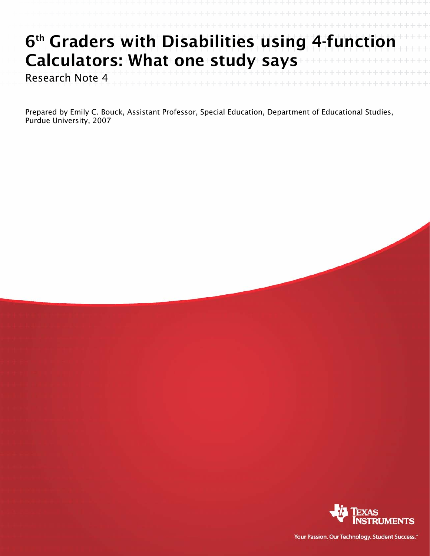## 6<sup>th</sup> Graders with Disabilities using 4-function Calculators: What one study says

Research Note 4

Prepared by Emily C. Bouck, Assistant Professor, Special Education, Department of Educational Studies, Purdue University, 2007



Your Passion. Our Technology. Student Success."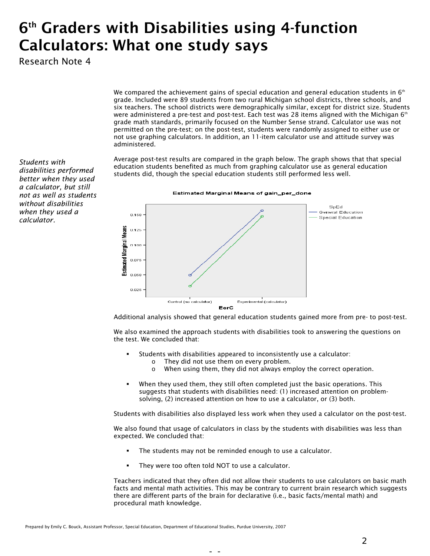## 6th Graders with Disabilities using 4-function Calculators: What one study says

Research Note 4

We compared the achievement gains of special education and general education students in  $6<sup>th</sup>$ grade. Included were 89 students from two rural Michigan school districts, three schools, and six teachers. The school districts were demographically similar, except for district size. Students were administered a pre-test and post-test. Each test was 28 items aligned with the Michigan  $6<sup>th</sup>$ grade math standards, primarily focused on the Number Sense strand. Calculator use was not permitted on the pre-test; on the post-test, students were randomly assigned to either use or not use graphing calculators. In addition, an 11-item calculator use and attitude survey was administered.

Average post-test results are compared in the graph below. The graph shows that that special education students benefited as much from graphing calculator use as general education students did, though the special education students still performed less well.



Additional analysis showed that general education students gained more from pre- to post-test.

We also examined the approach students with disabilities took to answering the questions on the test. We concluded that:

- Students with disabilities appeared to inconsistently use a calculator:
	- o They did not use them on every problem.
	- o When using them, they did not always employ the correct operation.
- When they used them, they still often completed just the basic operations. This suggests that students with disabilities need: (1) increased attention on problemsolving, (2) increased attention on how to use a calculator, or (3) both.

Students with disabilities also displayed less work when they used a calculator on the post-test.

We also found that usage of calculators in class by the students with disabilities was less than expected. We concluded that:

- The students may not be reminded enough to use a calculator.
- They were too often told NOT to use a calculator.

Teachers indicated that they often did not allow their students to use calculators on basic math facts and mental math activities. This may be contrary to current brain research which suggests there are different parts of the brain for declarative (i.e., basic facts/mental math) and procedural math knowledge.

*Students with disabilities performed better when they used a calculator, but still not as well as students without disabilities when they used a calculator.*

- -